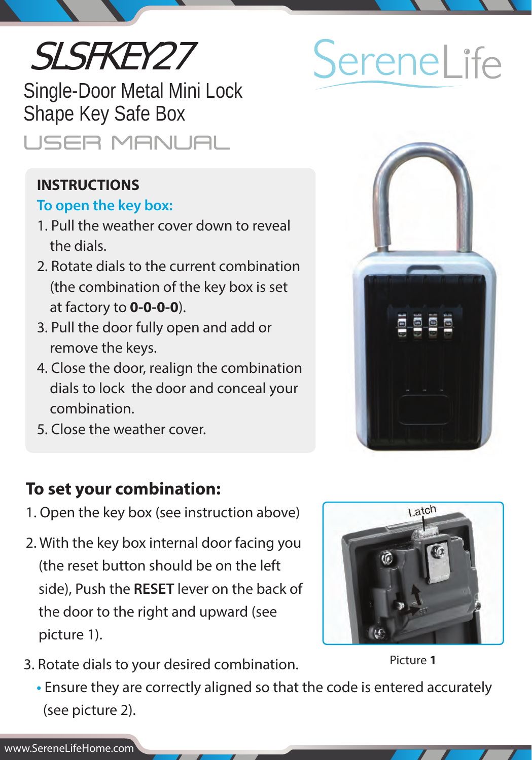# SLSFKEY27

Single-Door Metal Mini Lock Shape Key Safe Box **USER MANUAL** 

## **INSTRUCTIONS**

### **To open the key box:**

- 1. Pull the weather cover down to reveal the dials.
- 2. Rotate dials to the current combination (the combination of the key box is set at factory to **0-0-0-0**).
- 3. Pull the door fully open and add or remove the keys.
- 4. Close the door, realign the combination dials to lock the door and conceal your combination.
- 5. Close the weather cover.

# **To set your combination:**

- 1. Open the key box (see instruction above)
- 2. With the key box internal door facing you (the reset button should be on the left side), Push the **RESET** lever on the back of the door to the right and upward (see picture 1).



3. Rotate dials to your desired combination.

Picture **1**

 **•** Ensure they are correctly aligned so that the code is entered accurately (see picture 2).